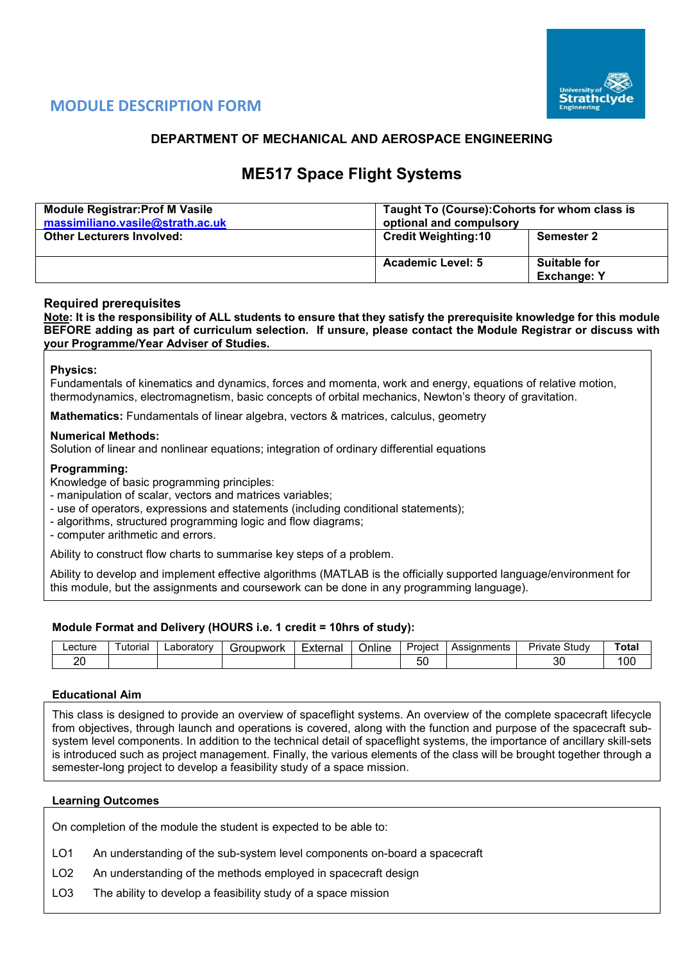

# **MODULE DESCRIPTION FORM**

## **DEPARTMENT OF MECHANICAL AND AEROSPACE ENGINEERING**

# **ME517 Space Flight Systems**

| <b>Module Registrar: Prof M Vasile</b><br>massimiliano.vasile@strath.ac.uk | Taught To (Course): Cohorts for whom class is<br>optional and compulsory |                                           |  |  |  |  |
|----------------------------------------------------------------------------|--------------------------------------------------------------------------|-------------------------------------------|--|--|--|--|
| <b>Other Lecturers Involved:</b>                                           | <b>Credit Weighting:10</b>                                               | <b>Semester 2</b>                         |  |  |  |  |
|                                                                            | <b>Academic Level: 5</b>                                                 | <b>Suitable for</b><br><b>Exchange: Y</b> |  |  |  |  |

## **Required prerequisites**

**Note: It is the responsibility of ALL students to ensure that they satisfy the prerequisite knowledge for this module BEFORE adding as part of curriculum selection. If unsure, please contact the Module Registrar or discuss with your Programme/Year Adviser of Studies.**

#### **Physics:**

Fundamentals of kinematics and dynamics, forces and momenta, work and energy, equations of relative motion, thermodynamics, electromagnetism, basic concepts of orbital mechanics, Newton's theory of gravitation.

**Mathematics:** Fundamentals of linear algebra, vectors & matrices, calculus, geometry

#### **Numerical Methods:**

Solution of linear and nonlinear equations; integration of ordinary differential equations

#### **Programming:**

Knowledge of basic programming principles:

- manipulation of scalar, vectors and matrices variables;

- use of operators, expressions and statements (including conditional statements);
- algorithms, structured programming logic and flow diagrams;
- computer arithmetic and errors.

Ability to construct flow charts to summarise key steps of a problem.

Ability to develop and implement effective algorithms (MATLAB is the officially supported language/environment for this module, but the assignments and coursework can be done in any programming language).

#### **Module Format and Delivery (HOURS i.e. 1 credit = 10hrs of study):**

| _ecture | utorial | .aboratorv | Groupwork | -xternal | . .<br>Jnline | Proiect       | Assignments | Study<br>Private | 'ota |
|---------|---------|------------|-----------|----------|---------------|---------------|-------------|------------------|------|
| n r     |         |            |           |          |               | $ \sim$<br>ັບ |             | <br>Jι           | 10C  |

#### **Educational Aim**

This class is designed to provide an overview of spaceflight systems. An overview of the complete spacecraft lifecycle from objectives, through launch and operations is covered, along with the function and purpose of the spacecraft subsystem level components. In addition to the technical detail of spaceflight systems, the importance of ancillary skill-sets is introduced such as project management. Finally, the various elements of the class will be brought together through a semester-long project to develop a feasibility study of a space mission.

#### **Learning Outcomes**

On completion of the module the student is expected to be able to:

- LO1 An understanding of the sub-system level components on-board a spacecraft
- LO2 An understanding of the methods employed in spacecraft design

LO3 The ability to develop a feasibility study of a space mission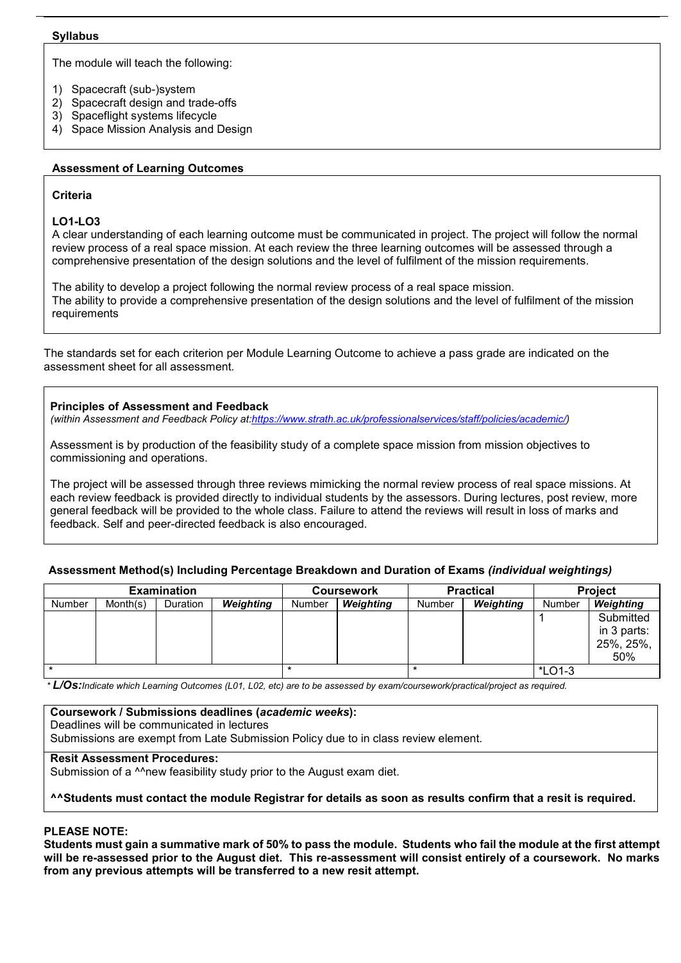#### **Syllabus**

The module will teach the following:

- 1) Spacecraft (sub-)system
- 2) Spacecraft design and trade-offs
- 3) Spaceflight systems lifecycle
- 4) Space Mission Analysis and Design

## **Assessment of Learning Outcomes**

## **Criteria**

#### **LO1-LO3**

A clear understanding of each learning outcome must be communicated in project. The project will follow the normal review process of a real space mission. At each review the three learning outcomes will be assessed through a comprehensive presentation of the design solutions and the level of fulfilment of the mission requirements.

The ability to develop a project following the normal review process of a real space mission. The ability to provide a comprehensive presentation of the design solutions and the level of fulfilment of the mission requirements

The standards set for each criterion per Module Learning Outcome to achieve a pass grade are indicated on the assessment sheet for all assessment.

#### **Principles of Assessment and Feedback**

*(within Assessment and Feedback Policy at[:https://www.strath.ac.uk/professionalservices/staff/policies/academic/\)](https://www.strath.ac.uk/professionalservices/staff/policies/academic/)*

Assessment is by production of the feasibility study of a complete space mission from mission objectives to commissioning and operations.

The project will be assessed through three reviews mimicking the normal review process of real space missions. At each review feedback is provided directly to individual students by the assessors. During lectures, post review, more general feedback will be provided to the whole class. Failure to attend the reviews will result in loss of marks and feedback. Self and peer-directed feedback is also encouraged.

## **Assessment Method(s) Including Percentage Breakdown and Duration of Exams** *(individual weightings)*

| <b>Examination</b> |          |          |           |        | <b>Coursework</b> |        | <b>Practical</b> | <b>Project</b> |             |  |
|--------------------|----------|----------|-----------|--------|-------------------|--------|------------------|----------------|-------------|--|
| <b>Number</b>      | Month(s) | Duration | Weighting | Number | Weighting         | Number | Weighting        | Number         | Weighting   |  |
|                    |          |          |           |        |                   |        |                  |                | Submitted   |  |
|                    |          |          |           |        |                   |        |                  |                | in 3 parts: |  |
|                    |          |          |           |        |                   |        |                  |                | 25%, 25%,   |  |
|                    |          |          |           |        |                   |        |                  |                | 50%         |  |
|                    |          |          |           |        |                   |        | *LO1-3           |                |             |  |

*\* L/Os:Indicate which Learning Outcomes (L01, L02, etc) are to be assessed by exam/coursework/practical/project as required.*

## **Coursework / Submissions deadlines (***academic weeks***):**

Deadlines will be communicated in lectures

Submissions are exempt from Late Submission Policy due to in class review element.

## **Resit Assessment Procedures:**

Submission of a <sup>^^</sup>new feasibility study prior to the August exam diet.

## **^^Students must contact the module Registrar for details as soon as results confirm that a resit is required.**

## **PLEASE NOTE:**

**Students must gain a summative mark of 50% to pass the module. Students who fail the module at the first attempt will be re-assessed prior to the August diet. This re-assessment will consist entirely of a coursework. No marks from any previous attempts will be transferred to a new resit attempt.**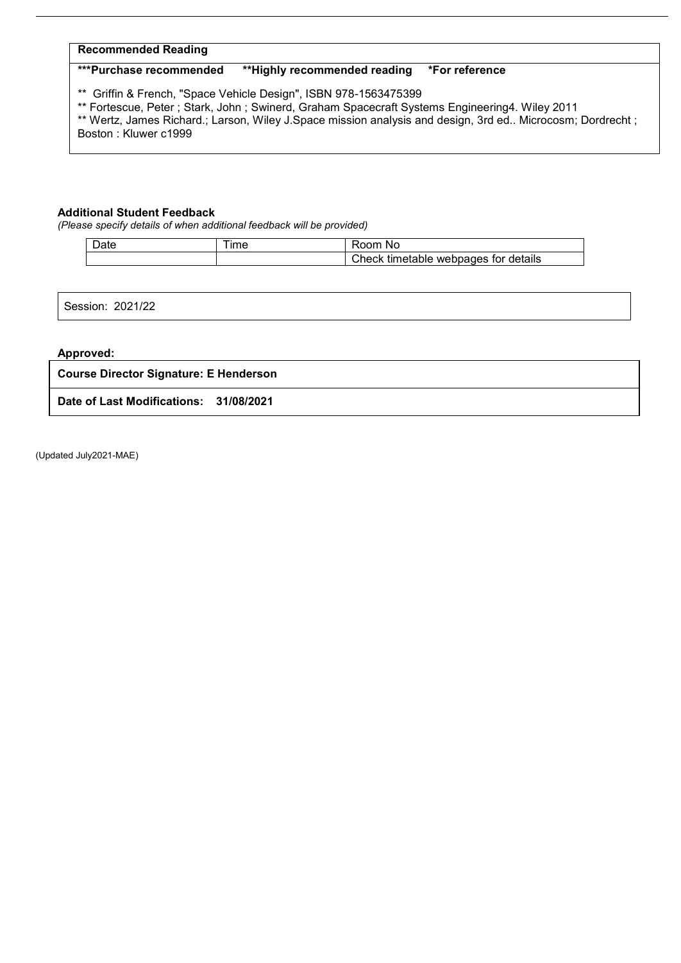## **Recommended Reading**

## **\*\*\*Purchase recommended \*\*Highly recommended reading \*For reference**

\*\* Griffin & French, "Space Vehicle Design", ISBN 978-1563475399

\*\* Fortescue, Peter ; Stark, John ; Swinerd, Graham Spacecraft Systems Engineering4. Wiley 2011

\*\* Wertz, James Richard.; Larson, Wiley J.Space mission analysis and design, 3rd ed.. Microcosm; Dordrecht ; Boston : Kluwer c1999

#### **Additional Student Feedback**

*(Please specify details of when additional feedback will be provided)*

| Date | $-1$<br>ıme | nm<br>N0<br>ו ז                              |
|------|-------------|----------------------------------------------|
|      |             | Check<br>timetable<br>webpages for details ؛ |

Session: 2021/22

#### **Approved:**

#### **Course Director Signature: E Henderson**

**Date of Last Modifications: 31/08/2021**

(Updated July2021-MAE)